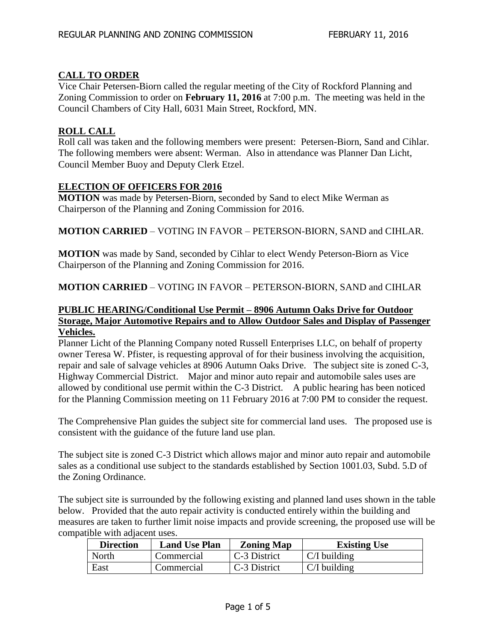# **CALL TO ORDER**

Vice Chair Petersen-Biorn called the regular meeting of the City of Rockford Planning and Zoning Commission to order on **February 11, 2016** at 7:00 p.m. The meeting was held in the Council Chambers of City Hall, 6031 Main Street, Rockford, MN.

## **ROLL CALL**

Roll call was taken and the following members were present: Petersen-Biorn, Sand and Cihlar. The following members were absent: Werman. Also in attendance was Planner Dan Licht, Council Member Buoy and Deputy Clerk Etzel.

## **ELECTION OF OFFICERS FOR 2016**

**MOTION** was made by Petersen-Biorn, seconded by Sand to elect Mike Werman as Chairperson of the Planning and Zoning Commission for 2016.

**MOTION CARRIED** – VOTING IN FAVOR – PETERSON-BIORN, SAND and CIHLAR.

**MOTION** was made by Sand, seconded by Cihlar to elect Wendy Peterson-Biorn as Vice Chairperson of the Planning and Zoning Commission for 2016.

**MOTION CARRIED** – VOTING IN FAVOR – PETERSON-BIORN, SAND and CIHLAR

## **PUBLIC HEARING/Conditional Use Permit – 8906 Autumn Oaks Drive for Outdoor Storage, Major Automotive Repairs and to Allow Outdoor Sales and Display of Passenger Vehicles.**

Planner Licht of the Planning Company noted Russell Enterprises LLC, on behalf of property owner Teresa W. Pfister, is requesting approval of for their business involving the acquisition, repair and sale of salvage vehicles at 8906 Autumn Oaks Drive. The subject site is zoned C-3, Highway Commercial District. Major and minor auto repair and automobile sales uses are allowed by conditional use permit within the C-3 District. A public hearing has been noticed for the Planning Commission meeting on 11 February 2016 at 7:00 PM to consider the request.

The Comprehensive Plan guides the subject site for commercial land uses. The proposed use is consistent with the guidance of the future land use plan.

The subject site is zoned C-3 District which allows major and minor auto repair and automobile sales as a conditional use subject to the standards established by Section 1001.03, Subd. 5.D of the Zoning Ordinance.

The subject site is surrounded by the following existing and planned land uses shown in the table below. Provided that the auto repair activity is conducted entirely within the building and measures are taken to further limit noise impacts and provide screening, the proposed use will be compatible with adjacent uses.

| <b>Direction</b> | <b>Land Use Plan</b> | <b>Zoning Map</b> | <b>Existing Use</b> |
|------------------|----------------------|-------------------|---------------------|
| North            | Commercial           | C-3 District      | $C/I$ building      |
| East             | Commercial           | C-3 District      | $C/I$ building      |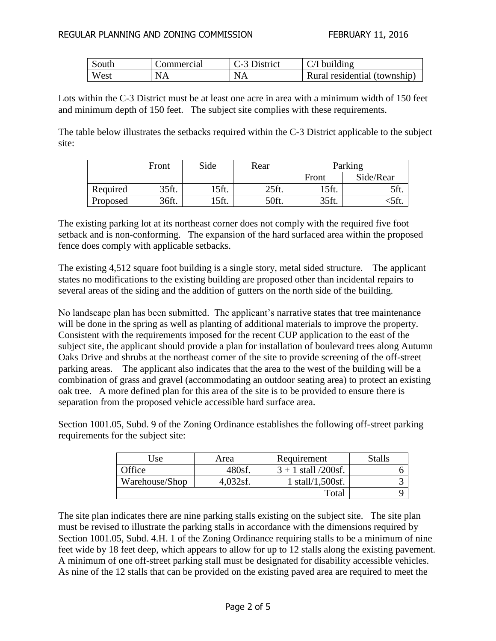| South | Commercial | C-3 District | $\mid$ C/I building          |
|-------|------------|--------------|------------------------------|
| West  | NA         | NA           | Rural residential (township) |

Lots within the C-3 District must be at least one acre in area with a minimum width of 150 feet and minimum depth of 150 feet. The subject site complies with these requirements.

The table below illustrates the setbacks required within the C-3 District applicable to the subject site:

|          | Front | Side  | Rear  | Parking |           |
|----------|-------|-------|-------|---------|-----------|
|          |       |       |       | Front   | Side/Rear |
| Required | 35ft. | 15ft. | 25ft. | 15ft.   | 5ft.      |
| Proposed | 36ft. | 15ft. | 50ft. | 35ft.   |           |

The existing parking lot at its northeast corner does not comply with the required five foot setback and is non-conforming. The expansion of the hard surfaced area within the proposed fence does comply with applicable setbacks.

The existing 4,512 square foot building is a single story, metal sided structure. The applicant states no modifications to the existing building are proposed other than incidental repairs to several areas of the siding and the addition of gutters on the north side of the building.

No landscape plan has been submitted. The applicant's narrative states that tree maintenance will be done in the spring as well as planting of additional materials to improve the property. Consistent with the requirements imposed for the recent CUP application to the east of the subject site, the applicant should provide a plan for installation of boulevard trees along Autumn Oaks Drive and shrubs at the northeast corner of the site to provide screening of the off-street parking areas. The applicant also indicates that the area to the west of the building will be a combination of grass and gravel (accommodating an outdoor seating area) to protect an existing oak tree. A more defined plan for this area of the site is to be provided to ensure there is separation from the proposed vehicle accessible hard surface area.

Section 1001.05, Subd. 9 of the Zoning Ordinance establishes the following off-street parking requirements for the subject site:

| Use            | Area     | Requirement            | Stalls |
|----------------|----------|------------------------|--------|
| Office         | 480sf.   | $3 + 1$ stall /200sf.  |        |
| Warehouse/Shop | 4,032sf. | $1$ stall/ $1,500$ sf. |        |
|                |          | Total                  |        |

The site plan indicates there are nine parking stalls existing on the subject site. The site plan must be revised to illustrate the parking stalls in accordance with the dimensions required by Section 1001.05, Subd. 4.H. 1 of the Zoning Ordinance requiring stalls to be a minimum of nine feet wide by 18 feet deep, which appears to allow for up to 12 stalls along the existing pavement. A minimum of one off-street parking stall must be designated for disability accessible vehicles. As nine of the 12 stalls that can be provided on the existing paved area are required to meet the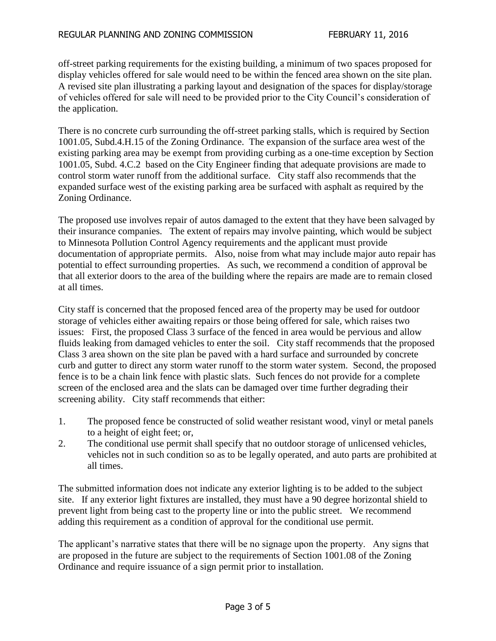off-street parking requirements for the existing building, a minimum of two spaces proposed for display vehicles offered for sale would need to be within the fenced area shown on the site plan. A revised site plan illustrating a parking layout and designation of the spaces for display/storage of vehicles offered for sale will need to be provided prior to the City Council's consideration of the application.

There is no concrete curb surrounding the off-street parking stalls, which is required by Section 1001.05, Subd.4.H.15 of the Zoning Ordinance. The expansion of the surface area west of the existing parking area may be exempt from providing curbing as a one-time exception by Section 1001.05, Subd. 4.C.2 based on the City Engineer finding that adequate provisions are made to control storm water runoff from the additional surface. City staff also recommends that the expanded surface west of the existing parking area be surfaced with asphalt as required by the Zoning Ordinance.

The proposed use involves repair of autos damaged to the extent that they have been salvaged by their insurance companies. The extent of repairs may involve painting, which would be subject to Minnesota Pollution Control Agency requirements and the applicant must provide documentation of appropriate permits. Also, noise from what may include major auto repair has potential to effect surrounding properties. As such, we recommend a condition of approval be that all exterior doors to the area of the building where the repairs are made are to remain closed at all times.

City staff is concerned that the proposed fenced area of the property may be used for outdoor storage of vehicles either awaiting repairs or those being offered for sale, which raises two issues: First, the proposed Class 3 surface of the fenced in area would be pervious and allow fluids leaking from damaged vehicles to enter the soil. City staff recommends that the proposed Class 3 area shown on the site plan be paved with a hard surface and surrounded by concrete curb and gutter to direct any storm water runoff to the storm water system. Second, the proposed fence is to be a chain link fence with plastic slats. Such fences do not provide for a complete screen of the enclosed area and the slats can be damaged over time further degrading their screening ability. City staff recommends that either:

- 1. The proposed fence be constructed of solid weather resistant wood, vinyl or metal panels to a height of eight feet; or,
- 2. The conditional use permit shall specify that no outdoor storage of unlicensed vehicles, vehicles not in such condition so as to be legally operated, and auto parts are prohibited at all times.

The submitted information does not indicate any exterior lighting is to be added to the subject site. If any exterior light fixtures are installed, they must have a 90 degree horizontal shield to prevent light from being cast to the property line or into the public street. We recommend adding this requirement as a condition of approval for the conditional use permit.

The applicant's narrative states that there will be no signage upon the property. Any signs that are proposed in the future are subject to the requirements of Section 1001.08 of the Zoning Ordinance and require issuance of a sign permit prior to installation.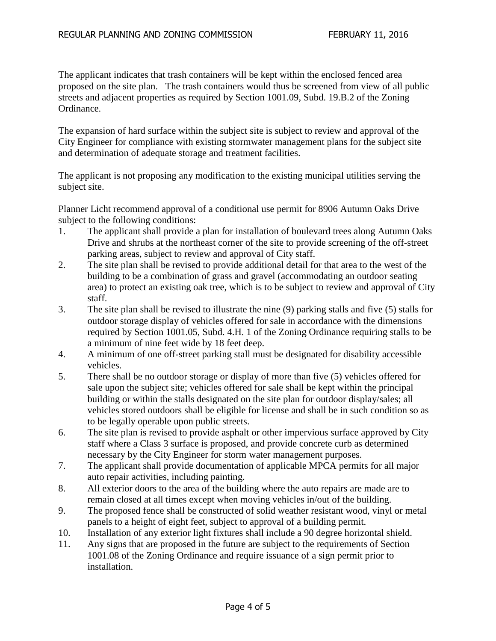The applicant indicates that trash containers will be kept within the enclosed fenced area proposed on the site plan. The trash containers would thus be screened from view of all public streets and adjacent properties as required by Section 1001.09, Subd. 19.B.2 of the Zoning Ordinance.

The expansion of hard surface within the subject site is subject to review and approval of the City Engineer for compliance with existing stormwater management plans for the subject site and determination of adequate storage and treatment facilities.

The applicant is not proposing any modification to the existing municipal utilities serving the subject site.

Planner Licht recommend approval of a conditional use permit for 8906 Autumn Oaks Drive subject to the following conditions:

- 1. The applicant shall provide a plan for installation of boulevard trees along Autumn Oaks Drive and shrubs at the northeast corner of the site to provide screening of the off-street parking areas, subject to review and approval of City staff.
- 2. The site plan shall be revised to provide additional detail for that area to the west of the building to be a combination of grass and gravel (accommodating an outdoor seating area) to protect an existing oak tree, which is to be subject to review and approval of City staff.
- 3. The site plan shall be revised to illustrate the nine (9) parking stalls and five (5) stalls for outdoor storage display of vehicles offered for sale in accordance with the dimensions required by Section 1001.05, Subd. 4.H. 1 of the Zoning Ordinance requiring stalls to be a minimum of nine feet wide by 18 feet deep.
- 4. A minimum of one off-street parking stall must be designated for disability accessible vehicles.
- 5. There shall be no outdoor storage or display of more than five (5) vehicles offered for sale upon the subject site; vehicles offered for sale shall be kept within the principal building or within the stalls designated on the site plan for outdoor display/sales; all vehicles stored outdoors shall be eligible for license and shall be in such condition so as to be legally operable upon public streets.
- 6. The site plan is revised to provide asphalt or other impervious surface approved by City staff where a Class 3 surface is proposed, and provide concrete curb as determined necessary by the City Engineer for storm water management purposes.
- 7. The applicant shall provide documentation of applicable MPCA permits for all major auto repair activities, including painting.
- 8. All exterior doors to the area of the building where the auto repairs are made are to remain closed at all times except when moving vehicles in/out of the building.
- 9. The proposed fence shall be constructed of solid weather resistant wood, vinyl or metal panels to a height of eight feet, subject to approval of a building permit.
- 10. Installation of any exterior light fixtures shall include a 90 degree horizontal shield.
- 11. Any signs that are proposed in the future are subject to the requirements of Section 1001.08 of the Zoning Ordinance and require issuance of a sign permit prior to installation.